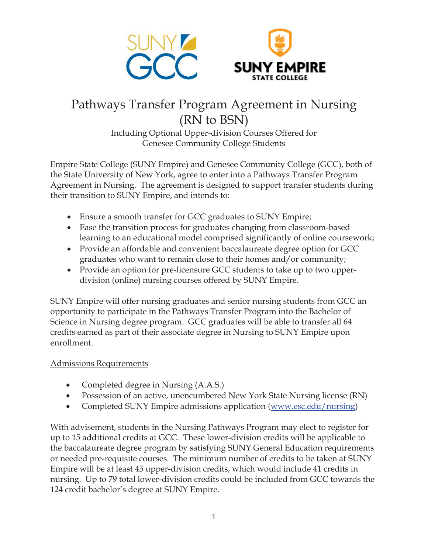

# Pathways Transfer Program Agreement in Nursing (RN to BSN)

Including Optional Upper-division Courses Offered for Genesee Community College Students

Empire State College (SUNY Empire) and Genesee Community College (GCC), both of the State University of New York, agree to enter into a Pathways Transfer Program Agreement in Nursing. The agreement is designed to support transfer students during their transition to SUNY Empire, and intends to:

- Ensure a smooth transfer for GCC graduates to SUNY Empire;
- Ease the transition process for graduates changing from classroom-based learning to an educational model comprised significantly of online coursework;
- Provide an affordable and convenient baccalaureate degree option for GCC graduates who want to remain close to their homes and/or community;
- Provide an option for pre-licensure GCC students to take up to two upperdivision (online) nursing courses offered by SUNY Empire.

SUNY Empire will offer nursing graduates and senior nursing students from GCC an opportunity to participate in the Pathways Transfer Program into the Bachelor of Science in Nursing degree program. GCC graduates will be able to transfer all 64 credits earned as part of their associate degree in Nursing to SUNY Empire upon enrollment.

# Admissions Requirements

- Completed degree in Nursing (A.A.S.)
- Possession of an active, unencumbered New York State Nursing license (RN)
- Completed SUNY Empire admissions application (www.esc.edu/nursing)

With advisement, students in the Nursing Pathways Program may elect to register for up to 15 additional credits at GCC. These lower-division credits will be applicable to the baccalaureate degree program by satisfying SUNY General Education requirements or needed pre-requisite courses. The minimum number of credits to be taken at SUNY Empire will be at least 45 upper-division credits, which would include 41 credits in nursing. Up to 79 total lower-division credits could be included from GCC towards the 124 credit bachelor's degree at SUNY Empire.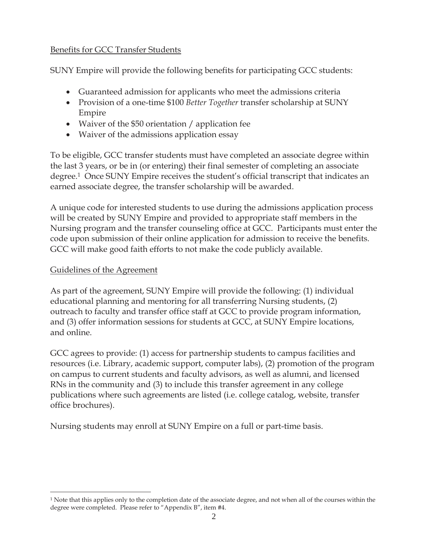## Benefits for GCC Transfer Students

SUNY Empire will provide the following benefits for participating GCC students:

- Guaranteed admission for applicants who meet the admissions criteria
- x Provision of a one-time \$100 *Better Together* transfer scholarship at SUNY Empire
- Waiver of the \$50 orientation  $/$  application fee
- Waiver of the admissions application essay

To be eligible, GCC transfer students must have completed an associate degree within the last 3 years, or be in (or entering) their final semester of completing an associate degree.1 Once SUNY Empire receives the student's official transcript that indicates an earned associate degree, the transfer scholarship will be awarded.

A unique code for interested students to use during the admissions application process will be created by SUNY Empire and provided to appropriate staff members in the Nursing program and the transfer counseling office at GCC. Participants must enter the code upon submission of their online application for admission to receive the benefits. GCC will make good faith efforts to not make the code publicly available.

## Guidelines of the Agreement

As part of the agreement, SUNY Empire will provide the following: (1) individual educational planning and mentoring for all transferring Nursing students, (2) outreach to faculty and transfer office staff at GCC to provide program information, and (3) offer information sessions for students at GCC, at SUNY Empire locations, and online.

GCC agrees to provide: (1) access for partnership students to campus facilities and resources (i.e. Library, academic support, computer labs), (2) promotion of the program on campus to current students and faculty advisors, as well as alumni, and licensed RNs in the community and (3) to include this transfer agreement in any college publications where such agreements are listed (i.e. college catalog, website, transfer office brochures).

Nursing students may enroll at SUNY Empire on a full or part-time basis.

<sup>1</sup> Note that this applies only to the completion date of the associate degree, and not when all of the courses within the degree were completed. Please refer to "Appendix B", item #4.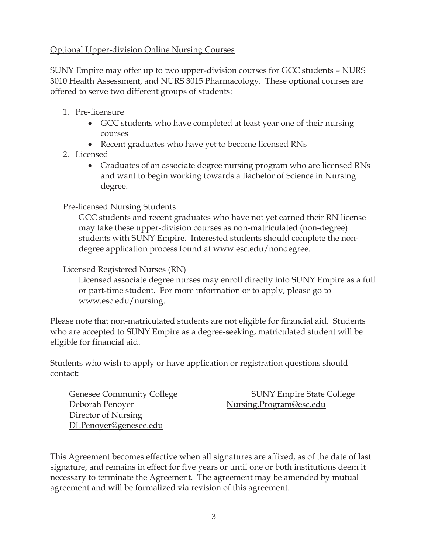## Optional Upper-division Online Nursing Courses

SUNY Empire may offer up to two upper-division courses for GCC students – NURS 3010 Health Assessment, and NURS 3015 Pharmacology. These optional courses are offered to serve two different groups of students:

- 1. Pre-licensure
	- GCC students who have completed at least year one of their nursing courses
	- Recent graduates who have yet to become licensed RNs
- 2. Licensed
	- Graduates of an associate degree nursing program who are licensed RNs and want to begin working towards a Bachelor of Science in Nursing degree.

## Pre-licensed Nursing Students

GCC students and recent graduates who have not yet earned their RN license may take these upper-division courses as non-matriculated (non-degree) students with SUNY Empire. Interested students should complete the nondegree application process found at www.esc.edu/nondegree.

## Licensed Registered Nurses (RN)

Licensed associate degree nurses may enroll directly into SUNY Empire as a full or part-time student. For more information or to apply, please go to www.esc.edu/nursing.

Please note that non-matriculated students are not eligible for financial aid. Students who are accepted to SUNY Empire as a degree-seeking, matriculated student will be eligible for financial aid.

Students who wish to apply or have application or registration questions should contact:

Deborah Penoyer Nursing.Program@esc.edu Director of Nursing DLPenoyer@genesee.edu

Genesee Community College SUNY Empire State College

This Agreement becomes effective when all signatures are affixed, as of the date of last signature, and remains in effect for five years or until one or both institutions deem it necessary to terminate the Agreement. The agreement may be amended by mutual agreement and will be formalized via revision of this agreement.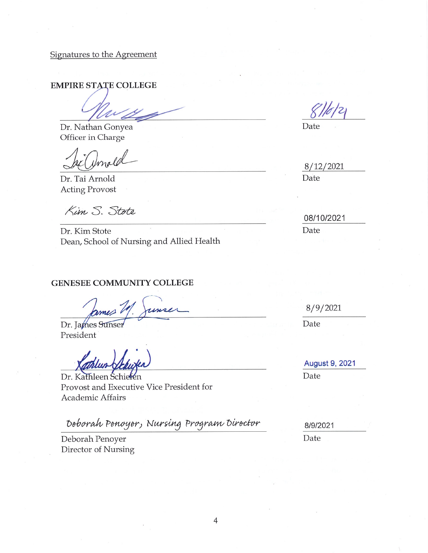Signatures to the Agreement

**EMPIRE STATE COLLEGE** 

Dr. Nathan Gonyea Officer in Charge

Dr. Tai Arnold Acting Provost

Kim S. Stote

Dr. Kim Stote Dean, School of Nursing and Allied Health

#### **GENESEE COMMUNITY COLLEGE**

Dr. James Sunser President

Dr. Kathleen Schiefen Provost and Executive Vice President for Academic Affairs

Deborah Penoyer, Nursing Program Director

Deborah Penoyer Director of Nursing

Date

8/12/2021 Date

08/10/2021

Date

8/9/2021

Date

August 9, 2021 Date

8/9/2021

Date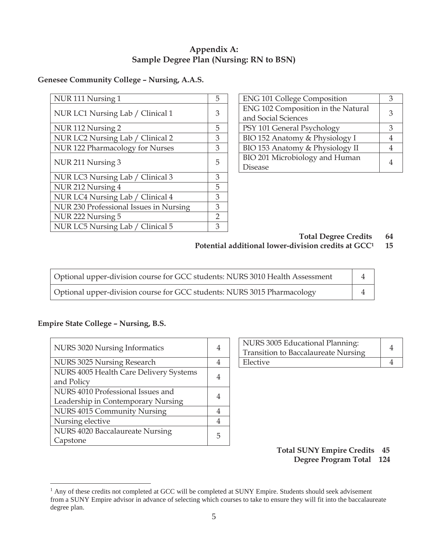## **Appendix A: Sample Degree Plan (Nursing: RN to BSN)**

## **Genesee Community College – Nursing, A.A.S.**

| NUR 111 Nursing 1                      | 5              | <b>ENG 101 College Composition</b> | 3              |
|----------------------------------------|----------------|------------------------------------|----------------|
| NUR LC1 Nursing Lab / Clinical 1       | 3              | ENG 102 Composition in the Natural | 3              |
|                                        |                | and Social Sciences                |                |
| NUR 112 Nursing 2                      | 5              | PSY 101 General Psychology         | 3              |
| NUR LC2 Nursing Lab / Clinical 2       | 3              | BIO 152 Anatomy & Physiology I     | 4              |
| NUR 122 Pharmacology for Nurses        | 3              | BIO 153 Anatomy & Physiology II    | $\overline{4}$ |
| NUR 211 Nursing 3                      | 5              | BIO 201 Microbiology and Human     | 4              |
|                                        |                | <b>Disease</b>                     |                |
| NUR LC3 Nursing Lab / Clinical 3       | 3              |                                    |                |
| NUR 212 Nursing 4                      | 5              |                                    |                |
| NUR LC4 Nursing Lab / Clinical 4       | 3              |                                    |                |
| NUR 230 Professional Issues in Nursing | 3              |                                    |                |
| NUR 222 Nursing 5                      | $\overline{2}$ |                                    |                |
| NUR LC5 Nursing Lab / Clinical 5       | 3              |                                    |                |

| <b>ENG 101 College Composition</b> |   |
|------------------------------------|---|
| ENG 102 Composition in the Natural |   |
| and Social Sciences                | 3 |
| PSY 101 General Psychology         |   |
| BIO 152 Anatomy & Physiology I     |   |
| BIO 153 Anatomy & Physiology II    |   |
| BIO 201 Microbiology and Human     |   |
| Disease                            |   |

**Total Degree Credits 64** 

## **Potential additional lower-division credits at GCC1 15**

| Optional upper-division course for GCC students: NURS 3010 Health Assessment |  |
|------------------------------------------------------------------------------|--|
| Optional upper-division course for GCC students: NURS 3015 Pharmacology      |  |

## **Empire State College – Nursing, B.S.**

 $\overline{a}$ 

| NURS 3020 Nursing Informatics                                           | 4 | NURS 3005 Educational Planning:<br><b>Transition to Baccalaureate Nursing</b> | $\overline{4}$ |
|-------------------------------------------------------------------------|---|-------------------------------------------------------------------------------|----------------|
| NURS 3025 Nursing Research                                              | 4 | Elective                                                                      | 4              |
| NURS 4005 Health Care Delivery Systems<br>and Policy                    | 4 |                                                                               |                |
| NURS 4010 Professional Issues and<br>Leadership in Contemporary Nursing | 4 |                                                                               |                |
| NURS 4015 Community Nursing                                             | 4 |                                                                               |                |
| Nursing elective                                                        | 4 |                                                                               |                |
| NURS 4020 Baccalaureate Nursing<br>Capstone                             | 5 |                                                                               |                |

| NURS 3005 Educational Planning:     |  |
|-------------------------------------|--|
| Transition to Baccalaureate Nursing |  |
| Elective                            |  |

#### **Total SUNY Empire Credits 45 Degree Program Total 124**

<sup>&</sup>lt;sup>1</sup> Any of these credits not completed at GCC will be completed at SUNY Empire. Students should seek advisement from a SUNY Empire advisor in advance of selecting which courses to take to ensure they will fit into the baccalaureate degree plan.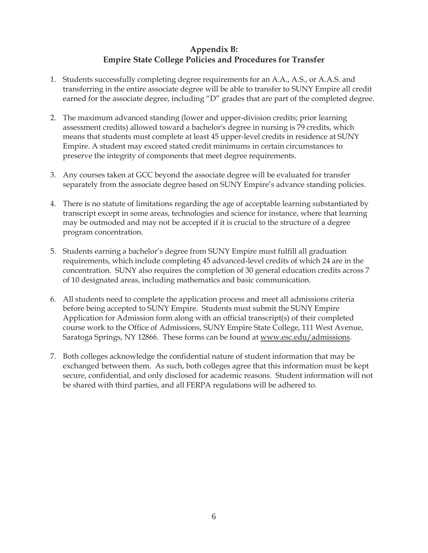## **Appendix B: Empire State College Policies and Procedures for Transfer**

- 1. Students successfully completing degree requirements for an A.A., A.S., or A.A.S. and transferring in the entire associate degree will be able to transfer to SUNY Empire all credit earned for the associate degree, including "D" grades that are part of the completed degree.
- 2. The maximum advanced standing (lower and upper-division credits; prior learning assessment credits) allowed toward a bachelor's degree in nursing is 79 credits, which means that students must complete at least 45 upper-level credits in residence at SUNY Empire. A student may exceed stated credit minimums in certain circumstances to preserve the integrity of components that meet degree requirements.
- 3. Any courses taken at GCC beyond the associate degree will be evaluated for transfer separately from the associate degree based on SUNY Empire's advance standing policies.
- 4. There is no statute of limitations regarding the age of acceptable learning substantiated by transcript except in some areas, technologies and science for instance, where that learning may be outmoded and may not be accepted if it is crucial to the structure of a degree program concentration.
- 5. Students earning a bachelor's degree from SUNY Empire must fulfill all graduation requirements, which include completing 45 advanced-level credits of which 24 are in the concentration. SUNY also requires the completion of 30 general education credits across 7 of 10 designated areas, including mathematics and basic communication.
- 6. All students need to complete the application process and meet all admissions criteria before being accepted to SUNY Empire. Students must submit the SUNY Empire Application for Admission form along with an official transcript(s) of their completed course work to the Office of Admissions, SUNY Empire State College, 111 West Avenue, Saratoga Springs, NY 12866. These forms can be found at www.esc.edu/admissions.
- 7. Both colleges acknowledge the confidential nature of student information that may be exchanged between them. As such, both colleges agree that this information must be kept secure, confidential, and only disclosed for academic reasons. Student information will not be shared with third parties, and all FERPA regulations will be adhered to.